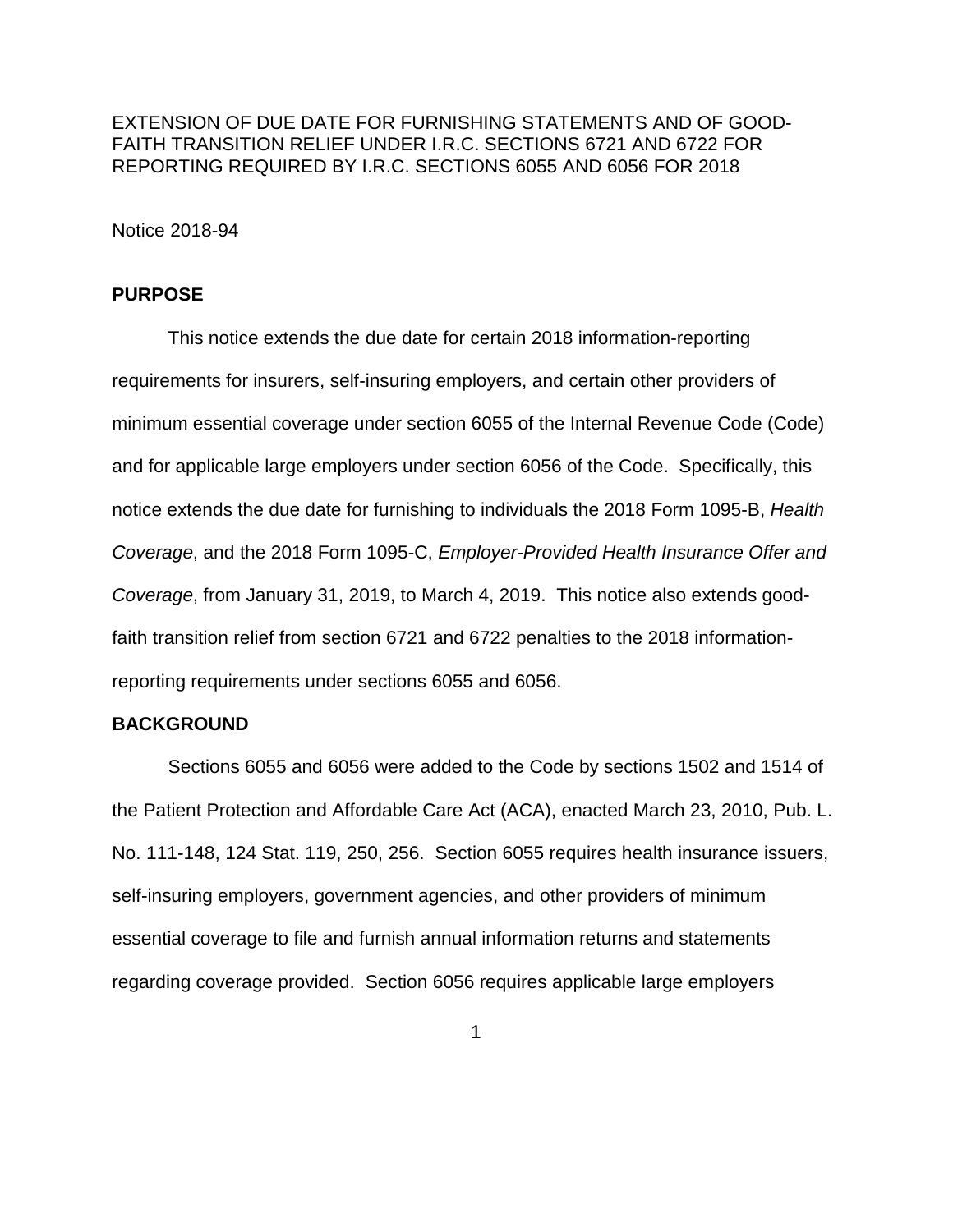EXTENSION OF DUE DATE FOR FURNISHING STATEMENTS AND OF GOOD-FAITH TRANSITION RELIEF UNDER I.R.C. SECTIONS 6721 AND 6722 FOR REPORTING REQUIRED BY I.R.C. SECTIONS 6055 AND 6056 FOR 2018

Notice 2018-94

### **PURPOSE**

This notice extends the due date for certain 2018 information-reporting requirements for insurers, self-insuring employers, and certain other providers of minimum essential coverage under section 6055 of the Internal Revenue Code (Code) and for applicable large employers under section 6056 of the Code. Specifically, this notice extends the due date for furnishing to individuals the 2018 Form 1095-B, *Health Coverage*, and the 2018 Form 1095-C, *Employer-Provided Health Insurance Offer and Coverage*, from January 31, 2019, to March 4, 2019. This notice also extends goodfaith transition relief from section 6721 and 6722 penalties to the 2018 informationreporting requirements under sections 6055 and 6056.

### **BACKGROUND**

Sections 6055 and 6056 were added to the Code by sections 1502 and 1514 of the Patient Protection and Affordable Care Act (ACA), enacted March 23, 2010, Pub. L. No. 111-148, 124 Stat. 119, 250, 256. Section 6055 requires health insurance issuers, self-insuring employers, government agencies, and other providers of minimum essential coverage to file and furnish annual information returns and statements regarding coverage provided. Section 6056 requires applicable large employers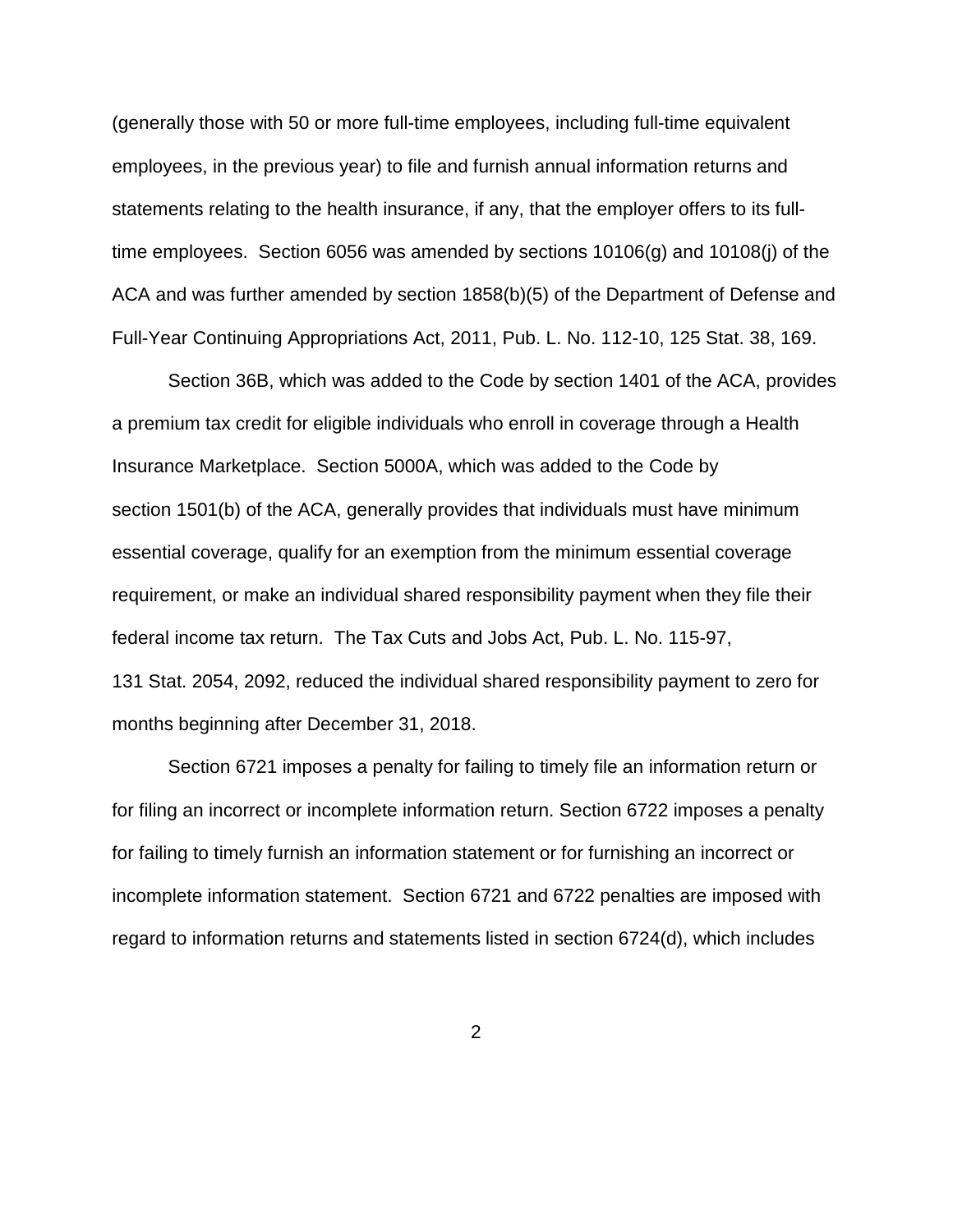(generally those with 50 or more full-time employees, including full-time equivalent employees, in the previous year) to file and furnish annual information returns and statements relating to the health insurance, if any, that the employer offers to its fulltime employees. Section 6056 was amended by sections 10106(g) and 10108(j) of the ACA and was further amended by section 1858(b)(5) of the Department of Defense and Full-Year Continuing Appropriations Act, 2011, Pub. L. No. 112-10, 125 Stat. 38, 169.

Section 36B, which was added to the Code by section 1401 of the ACA, provides a premium tax credit for eligible individuals who enroll in coverage through a Health Insurance Marketplace. Section 5000A, which was added to the Code by section 1501(b) of the ACA, generally provides that individuals must have minimum essential coverage, qualify for an exemption from the minimum essential coverage requirement, or make an individual shared responsibility payment when they file their federal income tax return. The Tax Cuts and Jobs Act, Pub. L. No. 115-97, 131 Stat. 2054, 2092, reduced the individual shared responsibility payment to zero for months beginning after December 31, 2018.

Section 6721 imposes a penalty for failing to timely file an information return or for filing an incorrect or incomplete information return. Section 6722 imposes a penalty for failing to timely furnish an information statement or for furnishing an incorrect or incomplete information statement. Section 6721 and 6722 penalties are imposed with regard to information returns and statements listed in section 6724(d), which includes

2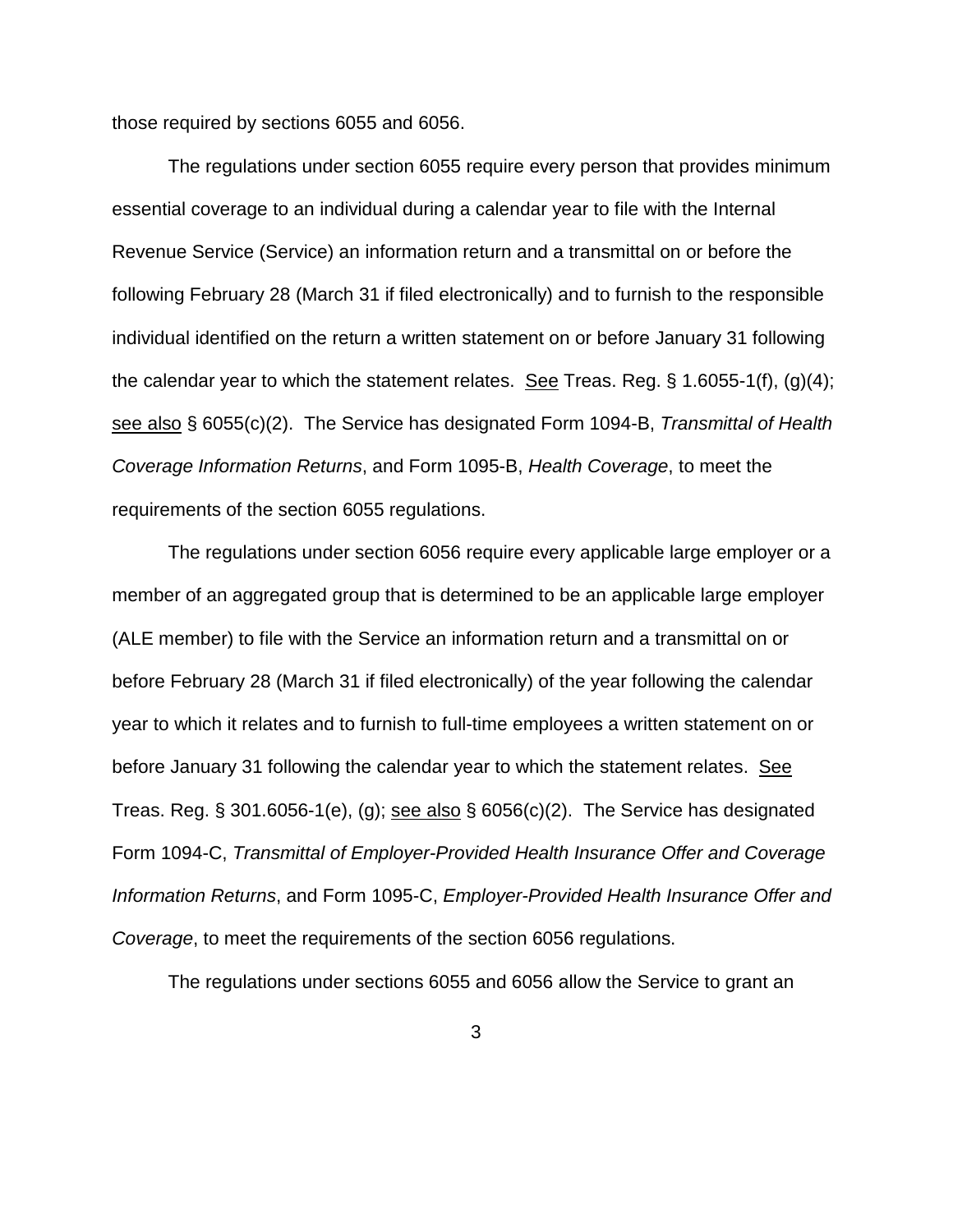those required by sections 6055 and 6056.

The regulations under section 6055 require every person that provides minimum essential coverage to an individual during a calendar year to file with the Internal Revenue Service (Service) an information return and a transmittal on or before the following February 28 (March 31 if filed electronically) and to furnish to the responsible individual identified on the return a written statement on or before January 31 following the calendar year to which the statement relates. See Treas. Reg.  $\S$  1.6055-1(f), (g)(4); see also § 6055(c)(2). The Service has designated Form 1094-B, *Transmittal of Health Coverage Information Returns*, and Form 1095-B, *Health Coverage*, to meet the requirements of the section 6055 regulations.

The regulations under section 6056 require every applicable large employer or a member of an aggregated group that is determined to be an applicable large employer (ALE member) to file with the Service an information return and a transmittal on or before February 28 (March 31 if filed electronically) of the year following the calendar year to which it relates and to furnish to full-time employees a written statement on or before January 31 following the calendar year to which the statement relates. See Treas. Reg.  $\S 301.6056-1(e)$ , (g); see also  $\S 6056(c)(2)$ . The Service has designated Form 1094-C, *Transmittal of Employer-Provided Health Insurance Offer and Coverage Information Returns*, and Form 1095-C, *Employer-Provided Health Insurance Offer and Coverage*, to meet the requirements of the section 6056 regulations.

The regulations under sections 6055 and 6056 allow the Service to grant an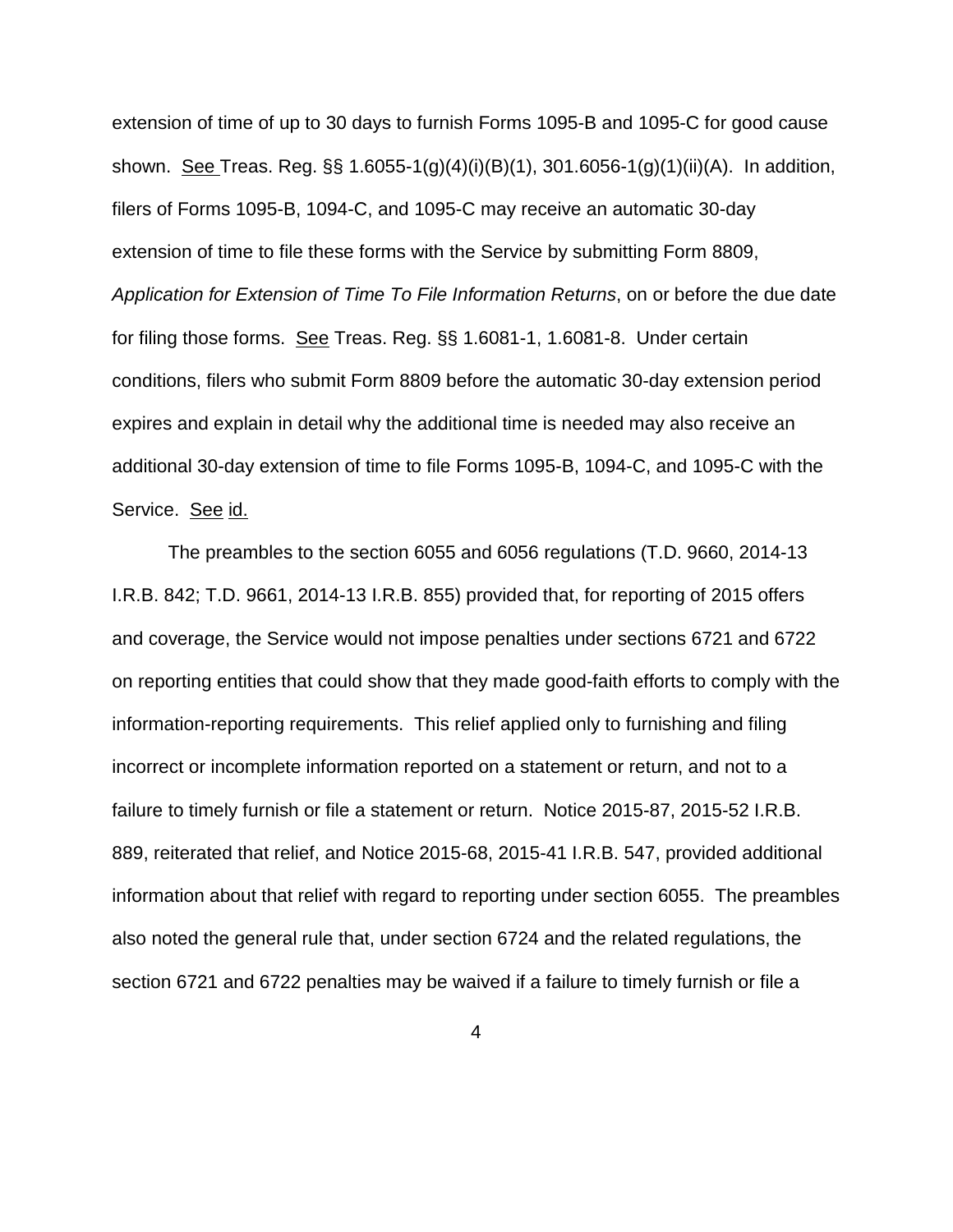extension of time of up to 30 days to furnish Forms 1095-B and 1095-C for good cause shown. See Treas. Reg. §§ 1.6055-1(g)(4)(i)(B)(1), 301.6056-1(g)(1)(ii)(A). In addition, filers of Forms 1095-B, 1094-C, and 1095-C may receive an automatic 30-day extension of time to file these forms with the Service by submitting Form 8809, *Application for Extension of Time To File Information Returns*, on or before the due date for filing those forms. See Treas. Reg. §§ 1.6081-1, 1.6081-8. Under certain conditions, filers who submit Form 8809 before the automatic 30-day extension period expires and explain in detail why the additional time is needed may also receive an additional 30-day extension of time to file Forms 1095-B, 1094-C, and 1095-C with the Service. See id.

The preambles to the section 6055 and 6056 regulations (T.D. 9660, 2014-13 I.R.B. 842; T.D. 9661, 2014-13 I.R.B. 855) provided that, for reporting of 2015 offers and coverage, the Service would not impose penalties under sections 6721 and 6722 on reporting entities that could show that they made good-faith efforts to comply with the information-reporting requirements. This relief applied only to furnishing and filing incorrect or incomplete information reported on a statement or return, and not to a failure to timely furnish or file a statement or return. Notice 2015-87, 2015-52 I.R.B. 889, reiterated that relief, and Notice 2015-68, 2015-41 I.R.B. 547, provided additional information about that relief with regard to reporting under section 6055. The preambles also noted the general rule that, under section 6724 and the related regulations, the section 6721 and 6722 penalties may be waived if a failure to timely furnish or file a

4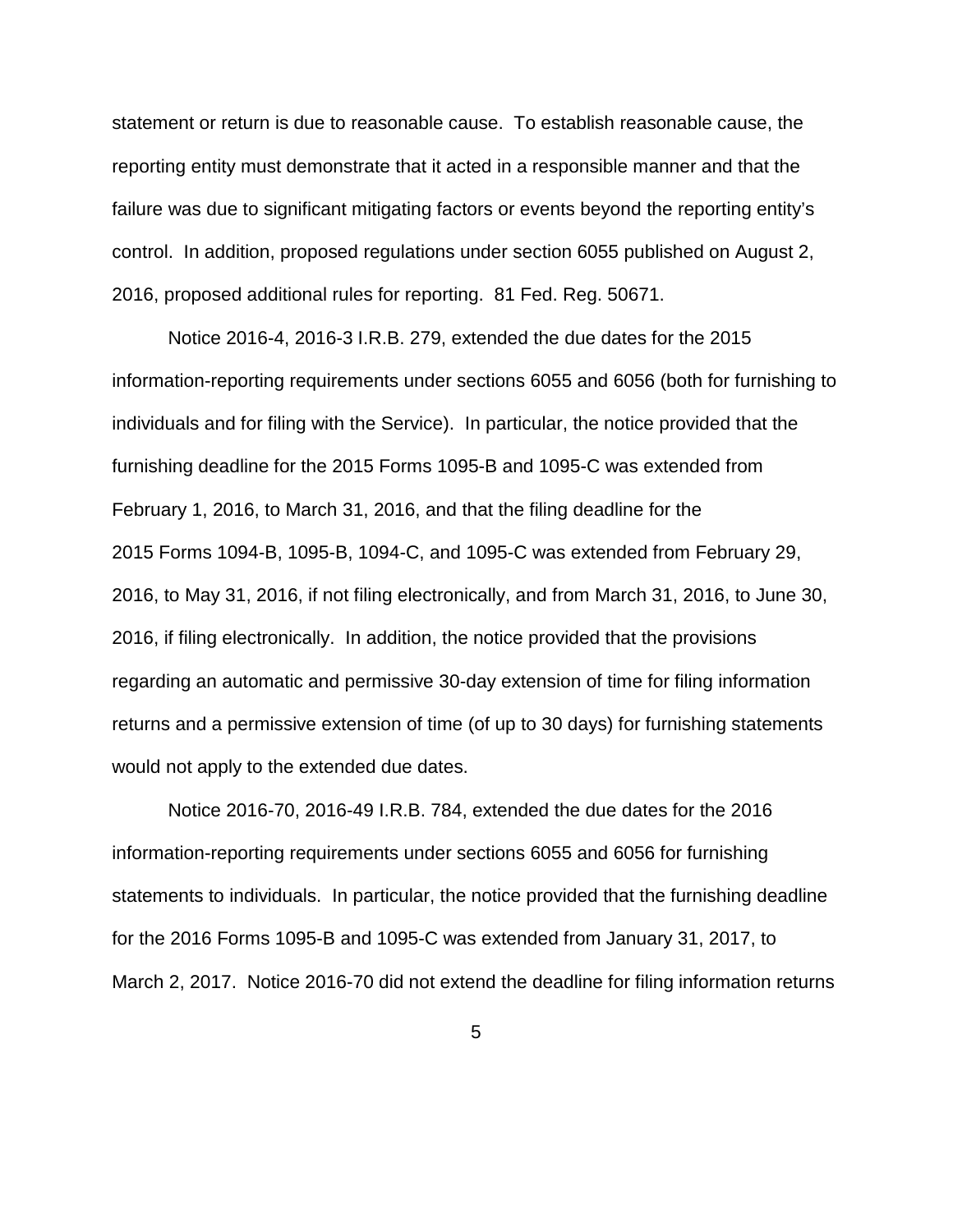statement or return is due to reasonable cause. To establish reasonable cause, the reporting entity must demonstrate that it acted in a responsible manner and that the failure was due to significant mitigating factors or events beyond the reporting entity's control. In addition, proposed regulations under section 6055 published on August 2, 2016, proposed additional rules for reporting. 81 Fed. Reg. 50671.

Notice 2016-4, 2016-3 I.R.B. 279, extended the due dates for the 2015 information-reporting requirements under sections 6055 and 6056 (both for furnishing to individuals and for filing with the Service). In particular, the notice provided that the furnishing deadline for the 2015 Forms 1095-B and 1095-C was extended from February 1, 2016, to March 31, 2016, and that the filing deadline for the 2015 Forms 1094-B, 1095-B, 1094-C, and 1095-C was extended from February 29, 2016, to May 31, 2016, if not filing electronically, and from March 31, 2016, to June 30, 2016, if filing electronically. In addition, the notice provided that the provisions regarding an automatic and permissive 30-day extension of time for filing information returns and a permissive extension of time (of up to 30 days) for furnishing statements would not apply to the extended due dates.

Notice 2016-70, 2016-49 I.R.B. 784, extended the due dates for the 2016 information-reporting requirements under sections 6055 and 6056 for furnishing statements to individuals. In particular, the notice provided that the furnishing deadline for the 2016 Forms 1095-B and 1095-C was extended from January 31, 2017, to March 2, 2017. Notice 2016-70 did not extend the deadline for filing information returns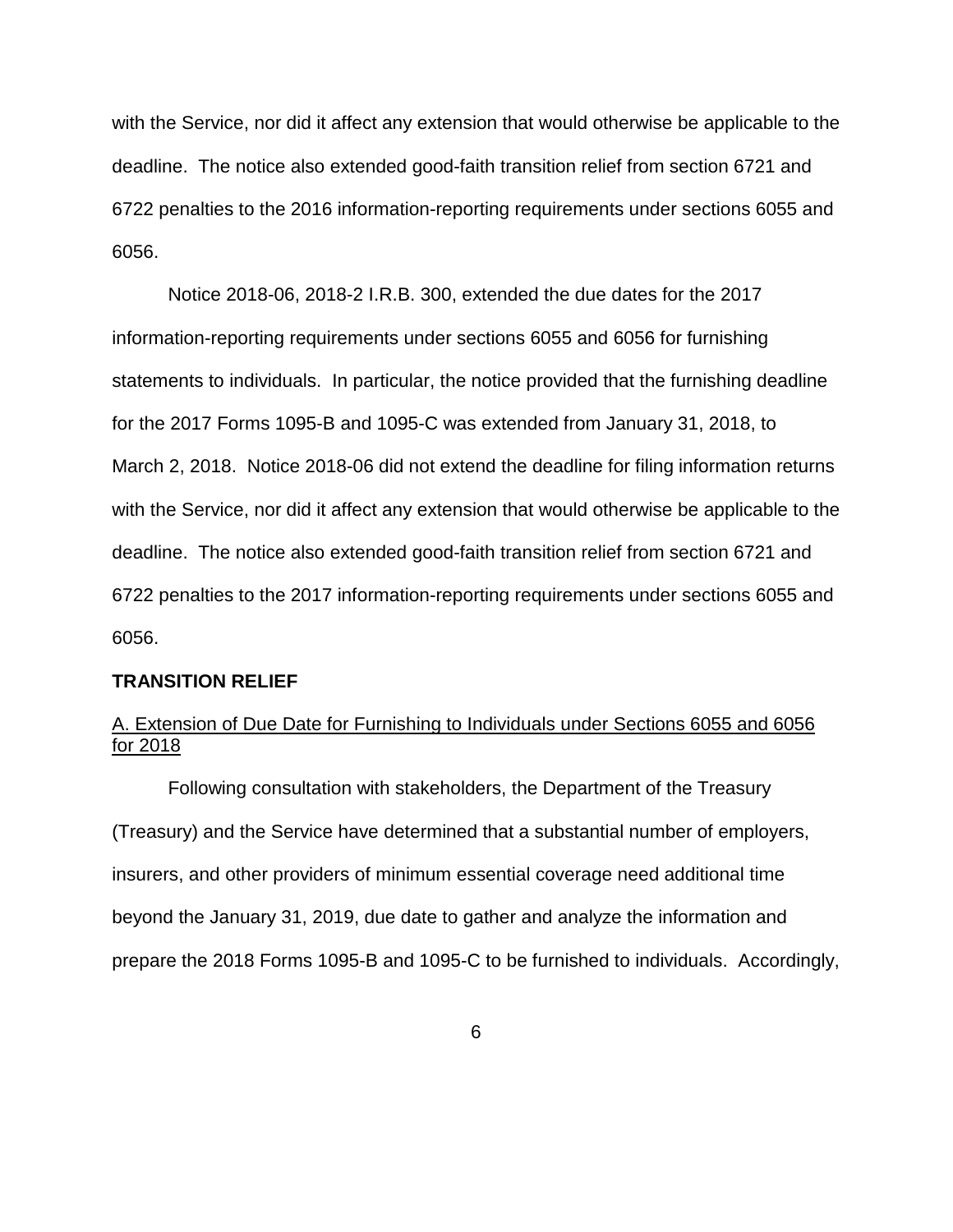with the Service, nor did it affect any extension that would otherwise be applicable to the deadline. The notice also extended good-faith transition relief from section 6721 and 6722 penalties to the 2016 information-reporting requirements under sections 6055 and 6056.

Notice 2018-06, 2018-2 I.R.B. 300, extended the due dates for the 2017 information-reporting requirements under sections 6055 and 6056 for furnishing statements to individuals. In particular, the notice provided that the furnishing deadline for the 2017 Forms 1095-B and 1095-C was extended from January 31, 2018, to March 2, 2018. Notice 2018-06 did not extend the deadline for filing information returns with the Service, nor did it affect any extension that would otherwise be applicable to the deadline. The notice also extended good-faith transition relief from section 6721 and 6722 penalties to the 2017 information-reporting requirements under sections 6055 and 6056.

### **TRANSITION RELIEF**

## A. Extension of Due Date for Furnishing to Individuals under Sections 6055 and 6056 for 2018

Following consultation with stakeholders, the Department of the Treasury (Treasury) and the Service have determined that a substantial number of employers, insurers, and other providers of minimum essential coverage need additional time beyond the January 31, 2019, due date to gather and analyze the information and prepare the 2018 Forms 1095-B and 1095-C to be furnished to individuals. Accordingly,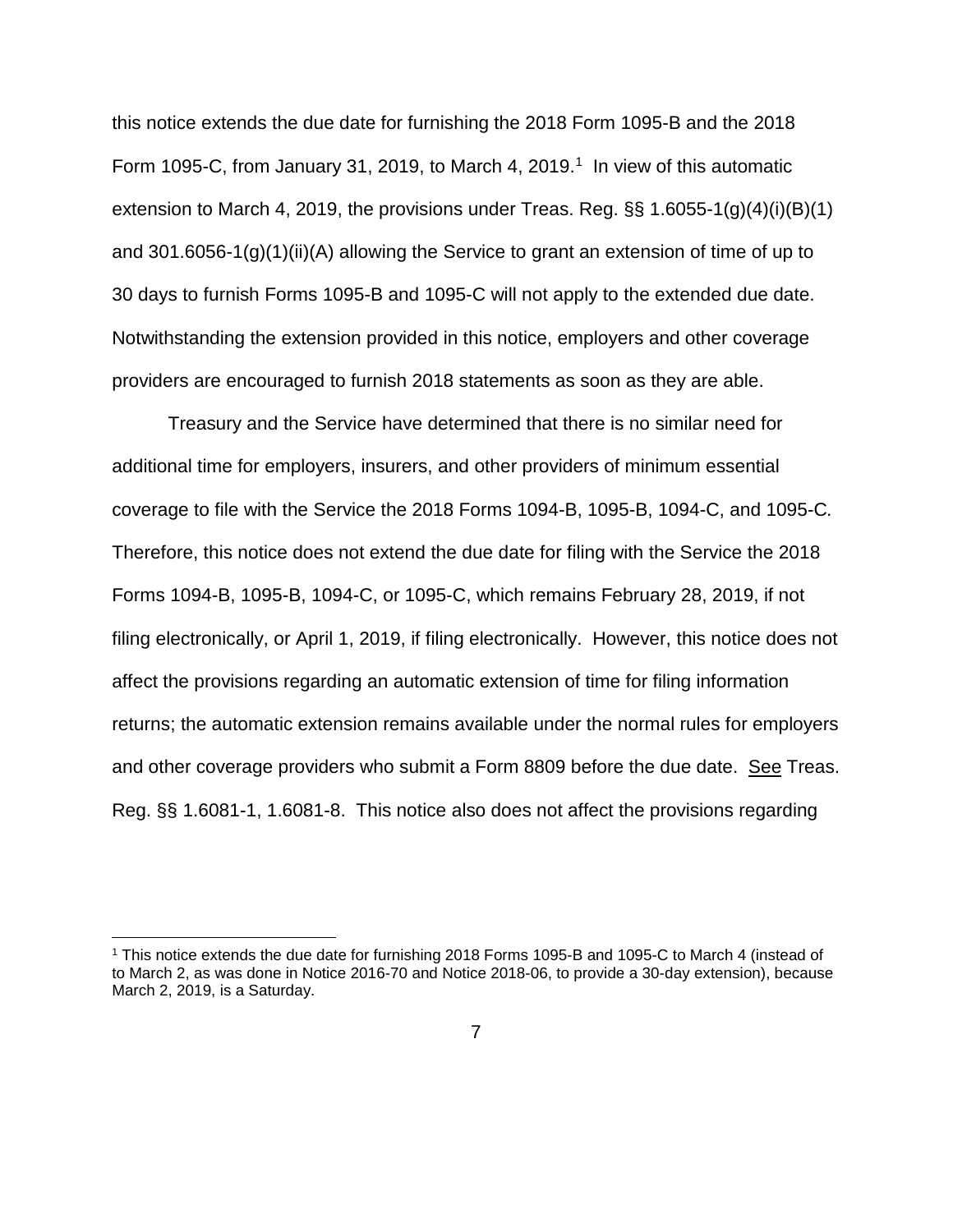this notice extends the due date for furnishing the 2018 Form 1095-B and the 2018 Form [1](#page-6-0)095-C, from January 31, 2019, to March 4, 2019.<sup>1</sup> In view of this automatic extension to March 4, 2019, the provisions under Treas. Reg.  $\S$ § 1.6055-1(g)(4)(i)(B)(1) and 301.6056-1(g)(1)(ii)(A) allowing the Service to grant an extension of time of up to 30 days to furnish Forms 1095-B and 1095-C will not apply to the extended due date. Notwithstanding the extension provided in this notice, employers and other coverage providers are encouraged to furnish 2018 statements as soon as they are able.

Treasury and the Service have determined that there is no similar need for additional time for employers, insurers, and other providers of minimum essential coverage to file with the Service the 2018 Forms 1094-B, 1095-B, 1094-C, and 1095-C*.*  Therefore, this notice does not extend the due date for filing with the Service the 2018 Forms 1094-B, 1095-B, 1094-C, or 1095-C, which remains February 28, 2019, if not filing electronically, or April 1, 2019, if filing electronically. However, this notice does not affect the provisions regarding an automatic extension of time for filing information returns; the automatic extension remains available under the normal rules for employers and other coverage providers who submit a Form 8809 before the due date. See Treas. Reg. §§ 1.6081-1, 1.6081-8. This notice also does not affect the provisions regarding

<span id="page-6-0"></span> <sup>1</sup> This notice extends the due date for furnishing 2018 Forms 1095-B and 1095-C to March 4 (instead of to March 2, as was done in Notice 2016-70 and Notice 2018-06, to provide a 30-day extension), because March 2, 2019, is a Saturday.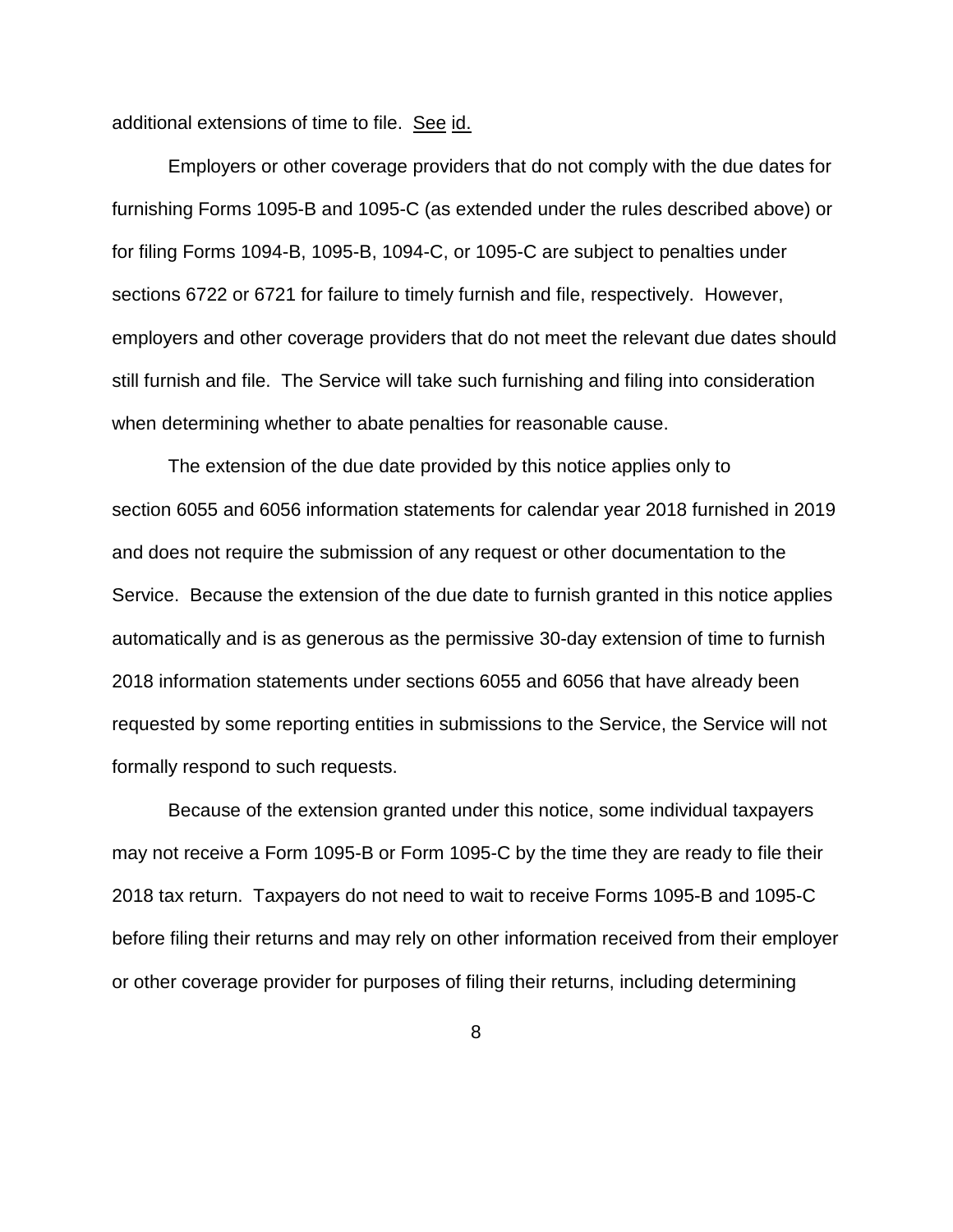additional extensions of time to file. See id.

Employers or other coverage providers that do not comply with the due dates for furnishing Forms 1095-B and 1095-C (as extended under the rules described above) or for filing Forms 1094-B, 1095-B, 1094-C, or 1095-C are subject to penalties under sections 6722 or 6721 for failure to timely furnish and file, respectively. However, employers and other coverage providers that do not meet the relevant due dates should still furnish and file. The Service will take such furnishing and filing into consideration when determining whether to abate penalties for reasonable cause.

The extension of the due date provided by this notice applies only to section 6055 and 6056 information statements for calendar year 2018 furnished in 2019 and does not require the submission of any request or other documentation to the Service. Because the extension of the due date to furnish granted in this notice applies automatically and is as generous as the permissive 30-day extension of time to furnish 2018 information statements under sections 6055 and 6056 that have already been requested by some reporting entities in submissions to the Service, the Service will not formally respond to such requests.

Because of the extension granted under this notice, some individual taxpayers may not receive a Form 1095-B or Form 1095-C by the time they are ready to file their 2018 tax return. Taxpayers do not need to wait to receive Forms 1095-B and 1095-C before filing their returns and may rely on other information received from their employer or other coverage provider for purposes of filing their returns, including determining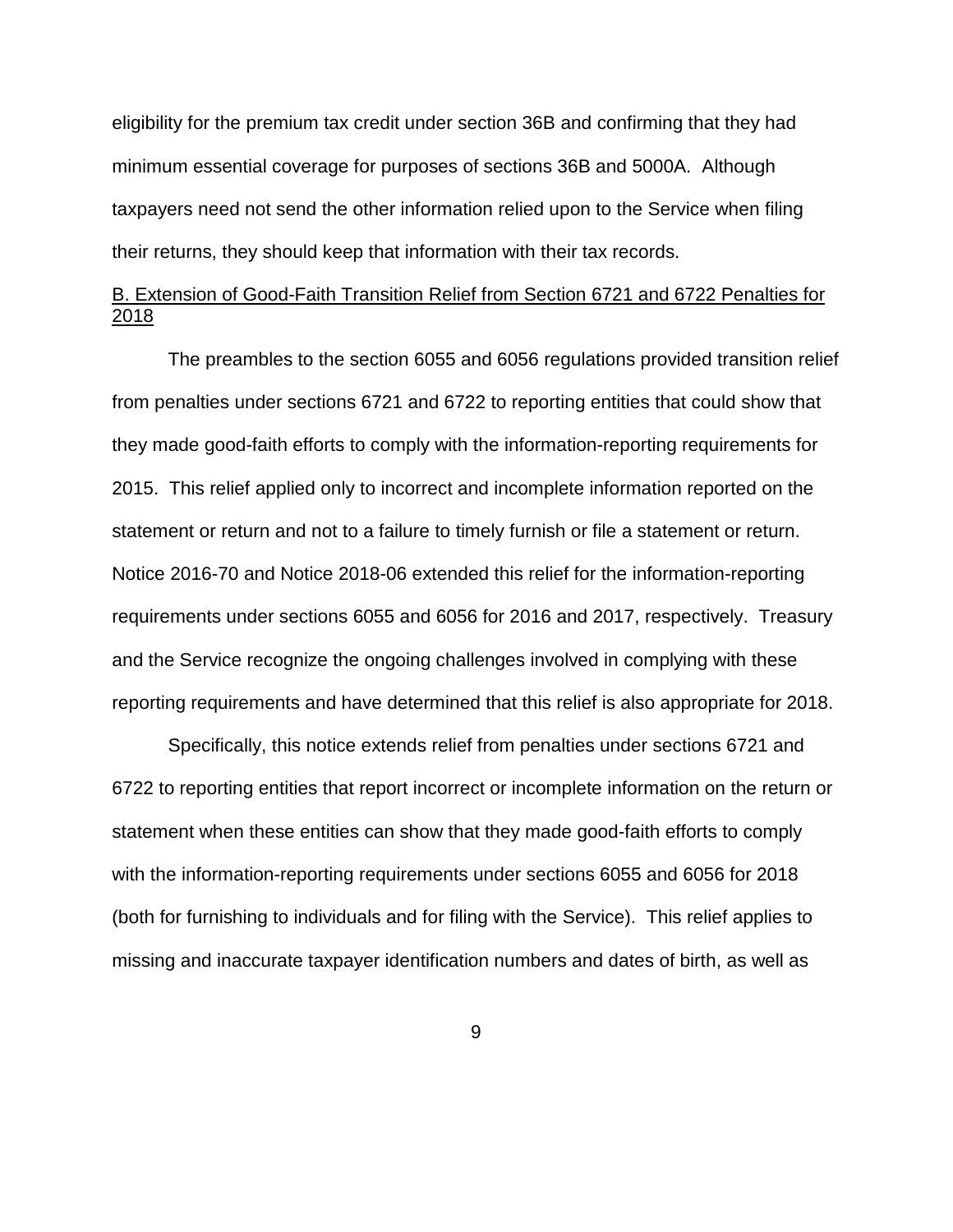eligibility for the premium tax credit under section 36B and confirming that they had minimum essential coverage for purposes of sections 36B and 5000A. Although taxpayers need not send the other information relied upon to the Service when filing their returns, they should keep that information with their tax records.

# B. Extension of Good-Faith Transition Relief from Section 6721 and 6722 Penalties for 2018

The preambles to the section 6055 and 6056 regulations provided transition relief from penalties under sections 6721 and 6722 to reporting entities that could show that they made good-faith efforts to comply with the information-reporting requirements for 2015. This relief applied only to incorrect and incomplete information reported on the statement or return and not to a failure to timely furnish or file a statement or return. Notice 2016-70 and Notice 2018-06 extended this relief for the information-reporting requirements under sections 6055 and 6056 for 2016 and 2017, respectively. Treasury and the Service recognize the ongoing challenges involved in complying with these reporting requirements and have determined that this relief is also appropriate for 2018.

Specifically, this notice extends relief from penalties under sections 6721 and 6722 to reporting entities that report incorrect or incomplete information on the return or statement when these entities can show that they made good-faith efforts to comply with the information-reporting requirements under sections 6055 and 6056 for 2018 (both for furnishing to individuals and for filing with the Service). This relief applies to missing and inaccurate taxpayer identification numbers and dates of birth, as well as

9